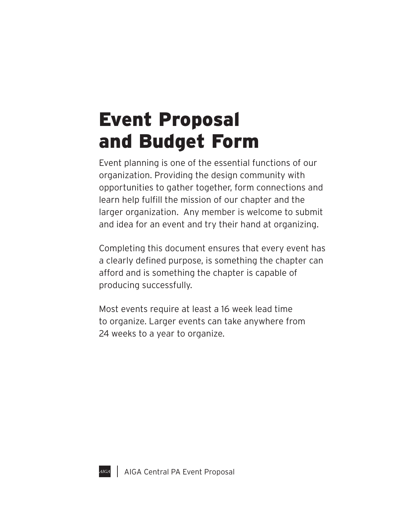## Event Proposal and Budget Form

Event planning is one of the essential functions of our organization. Providing the design community with opportunities to gather together, form connections and learn help fulfill the mission of our chapter and the larger organization. Any member is welcome to submit and idea for an event and try their hand at organizing.

Completing this document ensures that every event has a clearly defined purpose, is something the chapter can afford and is something the chapter is capable of producing successfully.

Most events require at least a 16 week lead time to organize. Larger events can take anywhere from 24 weeks to a year to organize.

AIGA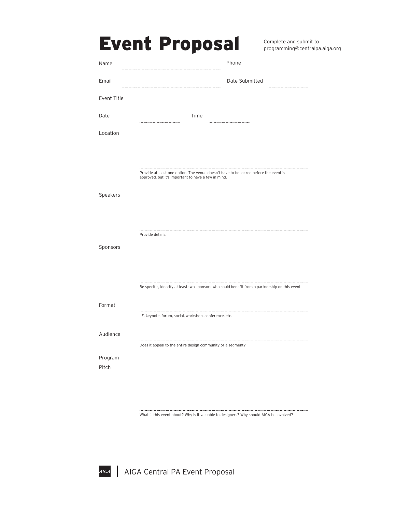|             | <b>Event Proposal</b>                                                                                                                       |                | Complete and submit to<br>programming@centralpa.aiga.org |
|-------------|---------------------------------------------------------------------------------------------------------------------------------------------|----------------|----------------------------------------------------------|
| Name        |                                                                                                                                             | Phone          |                                                          |
| Email       |                                                                                                                                             | Date Submitted |                                                          |
| Event Title |                                                                                                                                             |                |                                                          |
| Date        | Time                                                                                                                                        |                |                                                          |
| Location    |                                                                                                                                             |                |                                                          |
|             |                                                                                                                                             |                |                                                          |
|             | Provide at least one option. The venue doesn't have to be locked before the event is<br>approved, but it's important to have a few in mind. |                |                                                          |
| Speakers    |                                                                                                                                             |                |                                                          |
|             |                                                                                                                                             |                |                                                          |
|             | Provide details.                                                                                                                            |                |                                                          |
| Sponsors    |                                                                                                                                             |                |                                                          |
|             |                                                                                                                                             |                |                                                          |
|             | Be specific, identify at least two sponsors who could benefit from a partnership on this event.                                             |                |                                                          |
| Format      |                                                                                                                                             |                |                                                          |
|             | I.E. keynote, forum, social, workshop, conference, etc.                                                                                     |                |                                                          |
| Audience    | Does it appeal to the entire design community or a segment?                                                                                 |                |                                                          |
| Program     |                                                                                                                                             |                |                                                          |
| Pitch       |                                                                                                                                             |                |                                                          |

What is this event about? Why is it valuable to designers? Why should AIGA be involved?

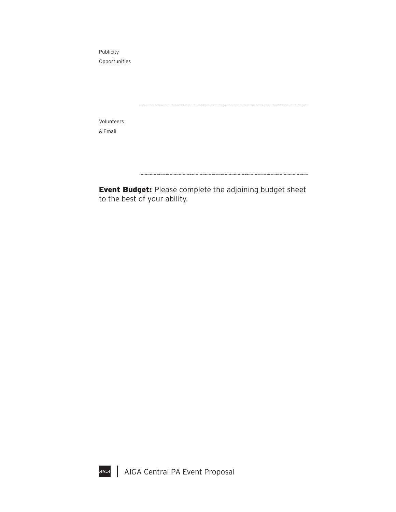Publicity Opportunities

Volunteers & Email

**Event Budget:** Please complete the adjoining budget sheet to the best of your ability.

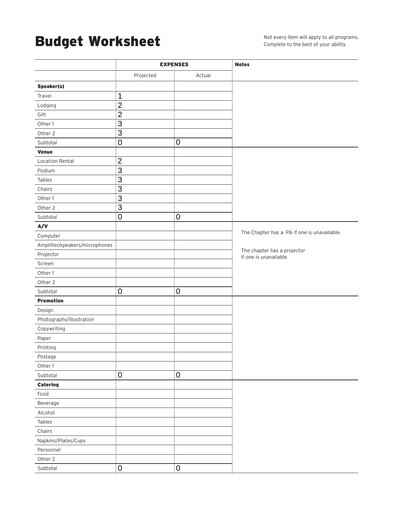## Budget Worksheet

|                                | <b>EXPENSES</b> |                | <b>Notes</b>                                          |
|--------------------------------|-----------------|----------------|-------------------------------------------------------|
|                                | Projected       | Actual         |                                                       |
| Speaker(s)                     |                 |                |                                                       |
| Travel                         | 1               |                |                                                       |
| Lodging                        | $\overline{2}$  |                |                                                       |
| Gift                           | $\overline{2}$  |                |                                                       |
| Other 1                        | $\overline{3}$  |                |                                                       |
| Other 2                        | $\overline{3}$  |                |                                                       |
| Subtotal                       | $\overline{0}$  | $\overline{0}$ |                                                       |
| <b>Venue</b>                   |                 |                |                                                       |
| <b>Location Rental</b>         | 2               |                |                                                       |
| Podium                         | $\overline{3}$  |                |                                                       |
| Tables                         | $\overline{3}$  |                |                                                       |
| Chairs                         | 3               |                |                                                       |
| Other 1                        | $\overline{3}$  |                |                                                       |
| Other 2                        | $\overline{3}$  |                |                                                       |
| Subtotal                       | $\overline{0}$  | $\mathbf 0$    |                                                       |
| A/V                            |                 |                |                                                       |
| Computer                       |                 |                | The Chapter has a PA if one is unavailable.           |
| Amplifier/speakers/microphones |                 |                |                                                       |
| Projector                      |                 |                | The chapter has a projector<br>if one is unavailable. |
| Screen                         |                 |                |                                                       |
| Other 1                        |                 |                |                                                       |
| Other 2                        |                 |                |                                                       |
| Subtotal                       | $\overline{0}$  | $\mathbf 0$    |                                                       |
| <b>Promotion</b>               |                 |                |                                                       |
| Design                         |                 |                |                                                       |
| Photography/Illustration       |                 |                |                                                       |
| Copywriting                    |                 |                |                                                       |
| Paper                          |                 |                |                                                       |
| Printing                       |                 |                |                                                       |
| Postage                        |                 |                |                                                       |
| Other 1                        |                 |                |                                                       |
| Subtotal                       | $\overline{0}$  | $\overline{0}$ |                                                       |
| <b>Catering</b>                |                 |                |                                                       |
| Food                           |                 |                |                                                       |
| Beverage                       |                 |                |                                                       |
| Alcohol                        |                 |                |                                                       |
| Tables                         |                 |                |                                                       |
| Chairs                         |                 |                |                                                       |
| Napkins/Plates/Cups            |                 |                |                                                       |
| Personnel                      |                 |                |                                                       |
| Other 2                        |                 |                |                                                       |
| Subtotal                       | $\overline{0}$  | $\overline{0}$ |                                                       |